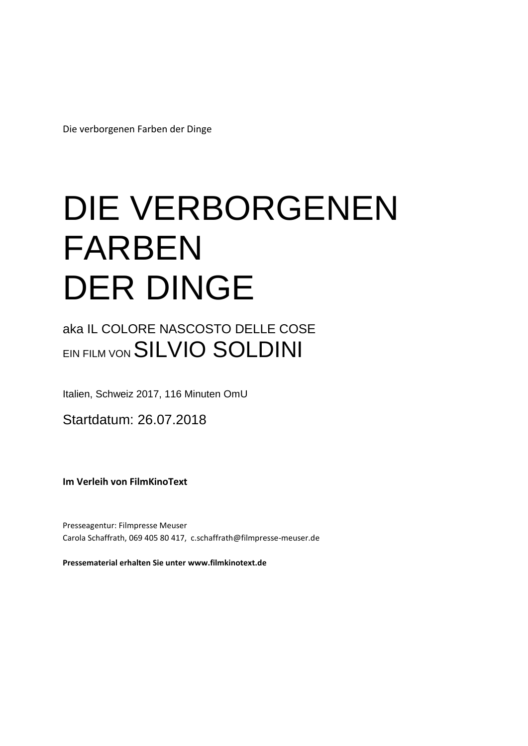Die verborgenen Farben der Dinge

# DIE VERBORGENEN FARBEN DER DINGE

aka IL COLORE NASCOSTO DELLE COSE EIN FILM VON SILVIO SOLDINI

Italien, Schweiz 2017, 116 Minuten OmU

Startdatum: 26.07.2018

**Im Verleih von FilmKinoText**

Presseagentur: Filmpresse Meuser Carola Schaffrath, 069 405 80 417, c.schaffrath@filmpresse-meuser.de

**Pressematerial erhalten Sie unter www.filmkinotext.de**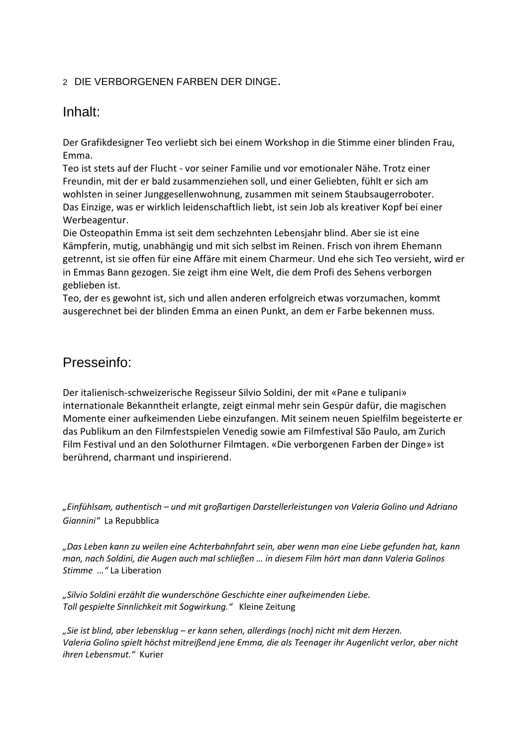### <sup>2</sup>DIE VERBORGENEN FARBEN DER DINGE.

# Inhalt:

Der Grafikdesigner Teo verliebt sich bei einem Workshop in die Stimme einer blinden Frau, Emma.

Teo ist stets auf der Flucht - vor seiner Familie und vor emotionaler Nähe. Trotz einer Freundin, mit der er bald zusammenziehen soll, und einer Geliebten, fühlt er sich am wohlsten in seiner Junggesellenwohnung, zusammen mit seinem Staubsaugerroboter. Das Einzige, was er wirklich leidenschaftlich liebt, ist sein Job als kreativer Kopf bei einer Werbeagentur.

Die Osteopathin Emma ist seit dem sechzehnten Lebensjahr blind. Aber sie ist eine Kämpferin, mutig, unabhängig und mit sich selbst im Reinen. Frisch von ihrem Ehemann getrennt, ist sie offen für eine Affäre mit einem Charmeur. Und ehe sich Teo versieht, wird er in Emmas Bann gezogen. Sie zeigt ihm eine Welt, die dem Profi des Sehens verborgen geblieben ist.

Teo, der es gewohnt ist, sich und allen anderen erfolgreich etwas vorzumachen, kommt ausgerechnet bei der blinden Emma an einen Punkt, an dem er Farbe bekennen muss.

# Presseinfo:

Der italienisch-schweizerische Regisseur Silvio Soldini, der mit «Pane e tulipani» internationale Bekanntheit erlangte, zeigt einmal mehr sein Gespür dafür, die magischen Momente einer aufkeimenden Liebe einzufangen. Mit seinem neuen Spielfilm begeisterte er das Publikum an den Filmfestspielen Venedig sowie am Filmfestival São Paulo, am Zurich Film Festival und an den Solothurner Filmtagen. «Die verborgenen Farben der Dinge» ist berührend, charmant und inspirierend.

*"Einfühlsam, authentisch – und mit großartigen Darstellerleistungen von Valeria Golino und Adriano Giannini"* La Repubblica

*"Das Leben kann zu weilen eine Achterbahnfahrt sein, aber wenn man eine Liebe gefunden hat, kann man, nach Soldini, die Augen auch mal schließen … in diesem Film hört man dann Valeria Golinos Stimme …"* La Liberation

*"Silvio Soldini erzählt die wunderschöne Geschichte einer aufkeimenden Liebe. Toll gespielte Sinnlichkeit mit Sogwirkung."* Kleine Zeitung

*"Sie ist blind, aber lebensklug – er kann sehen, allerdings (noch) nicht mit dem Herzen. Valeria Golino spielt höchst mitreißend jene Emma, die als Teenager ihr Augenlicht verlor, aber nicht ihren Lebensmut."* Kurier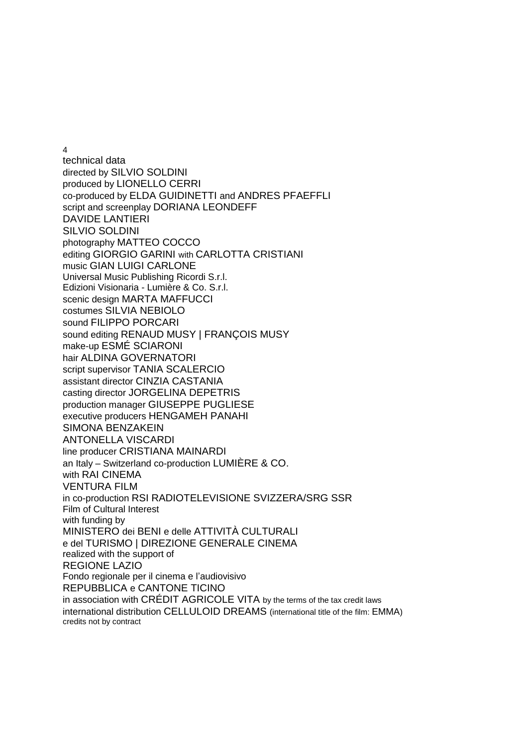4

technical data directed by SILVIO SOLDINI produced by LIONELLO CERRI co-produced by ELDA GUIDINETTI and ANDRES PFAEFFLI script and screenplay DORIANA LEONDEFF DAVIDE LANTIERI SILVIO SOLDINI photography MATTEO COCCO editing GIORGIO GARINI with CARLOTTA CRISTIANI music GIAN LUIGI CARLONE Universal Music Publishing Ricordi S.r.l. Edizioni Visionaria - Lumière & Co. S.r.l. scenic design MARTA MAFFUCCI costumes SILVIA NEBIOLO sound FILIPPO PORCARI sound editing RENAUD MUSY | FRANÇOIS MUSY make-up ESMÉ SCIARONI hair ALDINA GOVERNATORI script supervisor TANIA SCALERCIO assistant director CINZIA CASTANIA casting director JORGELINA DEPETRIS production manager GIUSEPPE PUGLIESE executive producers HENGAMEH PANAHI SIMONA BENZAKEIN ANTONELLA VISCARDI line producer CRISTIANA MAINARDI an Italy – Switzerland co-production LUMIÈRE & CO. with RAI CINEMA VENTURA FILM in co-production RSI RADIOTELEVISIONE SVIZZERA/SRG SSR Film of Cultural Interest with funding by MINISTERO dei BENI e delle ATTIVITÀ CULTURALI e del TURISMO | DIREZIONE GENERALE CINEMA realized with the support of REGIONE LAZIO Fondo regionale per il cinema e l'audiovisivo REPUBBLICA e CANTONE TICINO in association with CRÉDIT AGRICOLE VITA by the terms of the tax credit laws international distribution CELLULOID DREAMS (international title of the film: EMMA) credits not by contract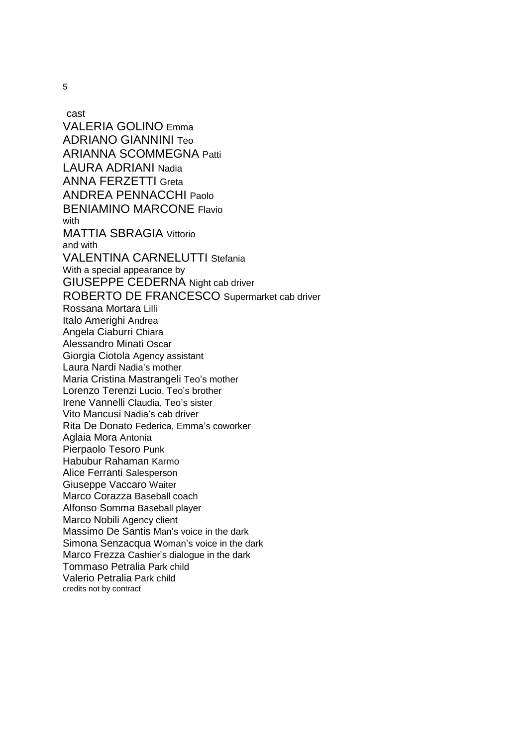5

cast VALERIA GOLINO Emma ADRIANO GIANNINI Teo ARIANNA SCOMMEGNA Patti LAURA ADRIANI Nadia ANNA FERZETTI Greta ANDREA PENNACCHI Paolo BENIAMINO MARCONE Flavio with MATTIA SBRAGIA Vittorio and with VALENTINA CARNELUTTI Stefania With a special appearance by GIUSEPPE CEDERNA Night cab driver ROBERTO DE FRANCESCO Supermarket cab driver Rossana Mortara Lilli Italo Amerighi Andrea Angela Ciaburri Chiara Alessandro Minati Oscar Giorgia Ciotola Agency assistant Laura Nardi Nadia's mother Maria Cristina Mastrangeli Teo's mother Lorenzo Terenzi Lucio, Teo's brother Irene Vannelli Claudia, Teo's sister Vito Mancusi Nadia's cab driver Rita De Donato Federica, Emma's coworker Aglaia Mora Antonia Pierpaolo Tesoro Punk Habubur Rahaman Karmo Alice Ferranti Salesperson Giuseppe Vaccaro Waiter Marco Corazza Baseball coach Alfonso Somma Baseball player Marco Nobili Agency client Massimo De Santis Man's voice in the dark Simona Senzacqua Woman's voice in the dark Marco Frezza Cashier's dialogue in the dark Tommaso Petralia Park child Valerio Petralia Park child credits not by contract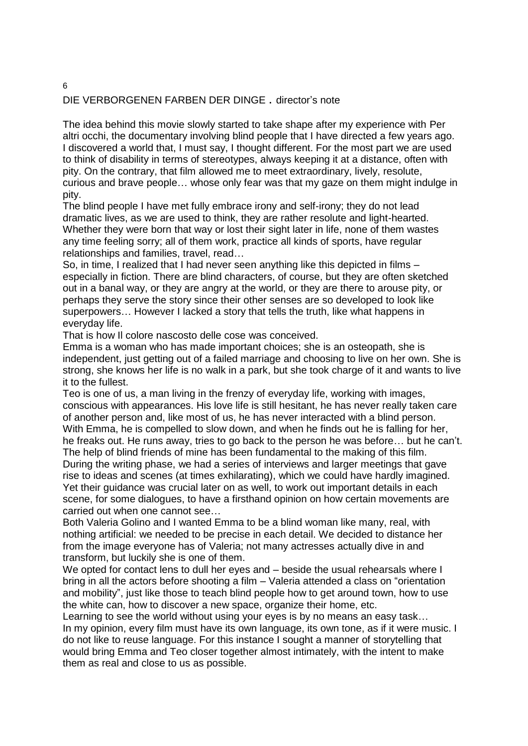# DIE VERBORGENEN FARBEN DER DINGE . director's note

The idea behind this movie slowly started to take shape after my experience with Per altri occhi, the documentary involving blind people that I have directed a few years ago. I discovered a world that, I must say, I thought different. For the most part we are used to think of disability in terms of stereotypes, always keeping it at a distance, often with pity. On the contrary, that film allowed me to meet extraordinary, lively, resolute, curious and brave people… whose only fear was that my gaze on them might indulge in pity.

The blind people I have met fully embrace irony and self-irony; they do not lead dramatic lives, as we are used to think, they are rather resolute and light-hearted. Whether they were born that way or lost their sight later in life, none of them wastes any time feeling sorry; all of them work, practice all kinds of sports, have regular relationships and families, travel, read…

So, in time, I realized that I had never seen anything like this depicted in films – especially in fiction. There are blind characters, of course, but they are often sketched out in a banal way, or they are angry at the world, or they are there to arouse pity, or perhaps they serve the story since their other senses are so developed to look like superpowers… However I lacked a story that tells the truth, like what happens in everyday life.

That is how Il colore nascosto delle cose was conceived.

Emma is a woman who has made important choices; she is an osteopath, she is independent, just getting out of a failed marriage and choosing to live on her own. She is strong, she knows her life is no walk in a park, but she took charge of it and wants to live it to the fullest.

Teo is one of us, a man living in the frenzy of everyday life, working with images, conscious with appearances. His love life is still hesitant, he has never really taken care of another person and, like most of us, he has never interacted with a blind person. With Emma, he is compelled to slow down, and when he finds out he is falling for her, he freaks out. He runs away, tries to go back to the person he was before… but he can't.

The help of blind friends of mine has been fundamental to the making of this film. During the writing phase, we had a series of interviews and larger meetings that gave rise to ideas and scenes (at times exhilarating), which we could have hardly imagined. Yet their guidance was crucial later on as well, to work out important details in each scene, for some dialogues, to have a firsthand opinion on how certain movements are carried out when one cannot see…

Both Valeria Golino and I wanted Emma to be a blind woman like many, real, with nothing artificial: we needed to be precise in each detail. We decided to distance her from the image everyone has of Valeria; not many actresses actually dive in and transform, but luckily she is one of them.

We opted for contact lens to dull her eyes and – beside the usual rehearsals where I bring in all the actors before shooting a film – Valeria attended a class on "orientation and mobility", just like those to teach blind people how to get around town, how to use the white can, how to discover a new space, organize their home, etc.

Learning to see the world without using your eyes is by no means an easy task... In my opinion, every film must have its own language, its own tone, as if it were music. I do not like to reuse language. For this instance I sought a manner of storytelling that would bring Emma and Teo closer together almost intimately, with the intent to make them as real and close to us as possible.

6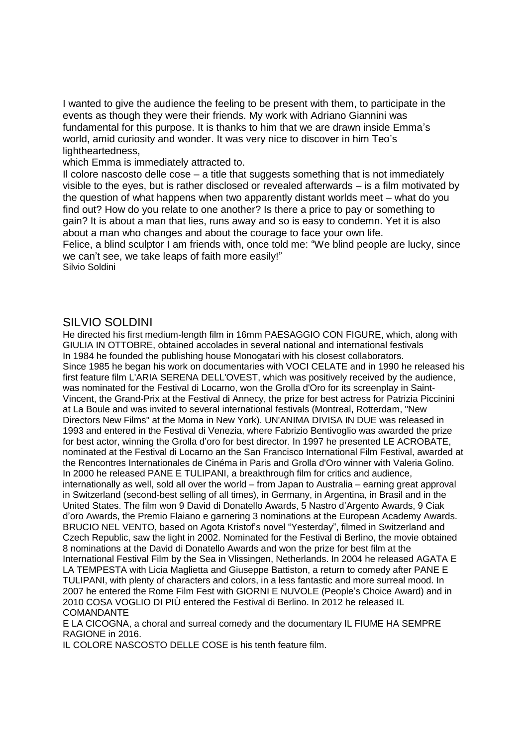I wanted to give the audience the feeling to be present with them, to participate in the events as though they were their friends. My work with Adriano Giannini was fundamental for this purpose. It is thanks to him that we are drawn inside Emma's world, amid curiosity and wonder. It was very nice to discover in him Teo's lightheartedness,

which Emma is immediately attracted to.

Il colore nascosto delle cose – a title that suggests something that is not immediately visible to the eyes, but is rather disclosed or revealed afterwards – is a film motivated by the question of what happens when two apparently distant worlds meet – what do you find out? How do you relate to one another? Is there a price to pay or something to gain? It is about a man that lies, runs away and so is easy to condemn. Yet it is also about a man who changes and about the courage to face your own life.

Felice, a blind sculptor I am friends with, once told me: "We blind people are lucky, since we can't see, we take leaps of faith more easily!"

Silvio Soldini

#### SILVIO SOLDINI

He directed his first medium-length film in 16mm PAESAGGIO CON FIGURE, which, along with GIULIA IN OTTOBRE, obtained accolades in several national and international festivals In 1984 he founded the publishing house Monogatari with his closest collaborators. Since 1985 he began his work on documentaries with VOCI CELATE and in 1990 he released his first feature film L'ARIA SERENA DELL'OVEST, which was positively received by the audience, was nominated for the Festival di Locarno, won the Grolla d'Oro for its screenplay in Saint-Vincent, the Grand-Prix at the Festival di Annecy, the prize for best actress for Patrizia Piccinini at La Boule and was invited to several international festivals (Montreal, Rotterdam, "New Directors New Films" at the Moma in New York). UN'ANIMA DIVISA IN DUE was released in 1993 and entered in the Festival di Venezia, where Fabrizio Bentivoglio was awarded the prize for best actor, winning the Grolla d'oro for best director. In 1997 he presented LE ACROBATE, nominated at the Festival di Locarno an the San Francisco International Film Festival, awarded at the Rencontres Internationales de Cinéma in Paris and Grolla d'Oro winner with Valeria Golino. In 2000 he released PANE E TULIPANI, a breakthrough film for critics and audience, internationally as well, sold all over the world – from Japan to Australia – earning great approval in Switzerland (second-best selling of all times), in Germany, in Argentina, in Brasil and in the United States. The film won 9 David di Donatello Awards, 5 Nastro d'Argento Awards, 9 Ciak d'oro Awards, the Premio Flaiano e garnering 3 nominations at the European Academy Awards. BRUCIO NEL VENTO, based on Agota Kristof's novel "Yesterday", filmed in Switzerland and Czech Republic, saw the light in 2002. Nominated for the Festival di Berlino, the movie obtained 8 nominations at the David di Donatello Awards and won the prize for best film at the International Festival Film by the Sea in Vlissingen, Netherlands. In 2004 he released AGATA E LA TEMPESTA with Licia Maglietta and Giuseppe Battiston, a return to comedy after PANE E TULIPANI, with plenty of characters and colors, in a less fantastic and more surreal mood. In 2007 he entered the Rome Film Fest with GIORNI E NUVOLE (People's Choice Award) and in 2010 COSA VOGLIO DI PIÙ entered the Festival di Berlino. In 2012 he released IL COMANDANTE

E LA CICOGNA, a choral and surreal comedy and the documentary IL FIUME HA SEMPRE RAGIONE in 2016.

IL COLORE NASCOSTO DELLE COSE is his tenth feature film.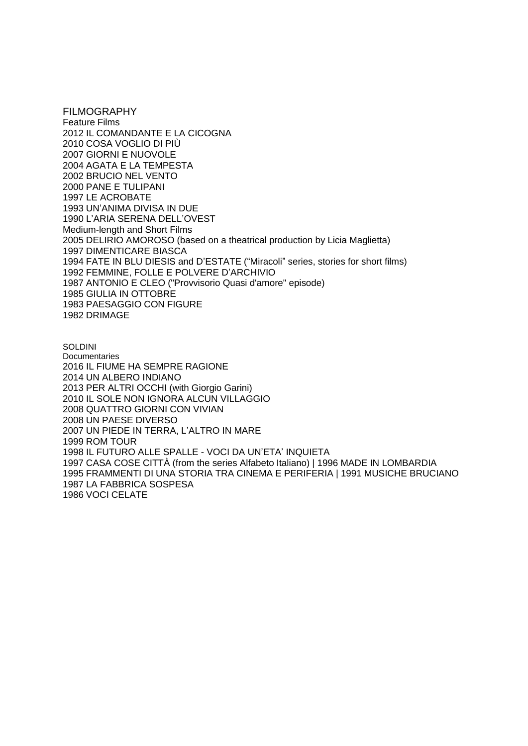FILMOGRAPHY Feature Films 2012 IL COMANDANTE E LA CICOGNA 2010 COSA VOGLIO DI PIÙ 2007 GIORNI E NUOVOLE 2004 AGATA E LA TEMPESTA 2002 BRUCIO NEL VENTO 2000 PANE E TULIPANI 1997 LE ACROBATE 1993 UN'ANIMA DIVISA IN DUE 1990 L'ARIA SERENA DELL'OVEST Medium-length and Short Films 2005 DELIRIO AMOROSO (based on a theatrical production by Licia Maglietta) 1997 DIMENTICARE BIASCA 1994 FATE IN BLU DIESIS and D'ESTATE ("Miracoli" series, stories for short films) 1992 FEMMINE, FOLLE E POLVERE D'ARCHIVIO 1987 ANTONIO E CLEO ("Provvisorio Quasi d'amore" episode) 1985 GIULIA IN OTTOBRE 1983 PAESAGGIO CON FIGURE 1982 DRIMAGE

**SOLDINI Documentaries** 2016 IL FIUME HA SEMPRE RAGIONE 2014 UN ALBERO INDIANO 2013 PER ALTRI OCCHI (with Giorgio Garini) 2010 IL SOLE NON IGNORA ALCUN VILLAGGIO 2008 QUATTRO GIORNI CON VIVIAN 2008 UN PAESE DIVERSO 2007 UN PIEDE IN TERRA, L'ALTRO IN MARE 1999 ROM TOUR 1998 IL FUTURO ALLE SPALLE - VOCI DA UN'ETA' INQUIETA 1997 CASA COSE CITTÀ (from the series Alfabeto Italiano) | 1996 MADE IN LOMBARDIA 1995 FRAMMENTI DI UNA STORIA TRA CINEMA E PERIFERIA | 1991 MUSICHE BRUCIANO 1987 LA FABBRICA SOSPESA 1986 VOCI CELATE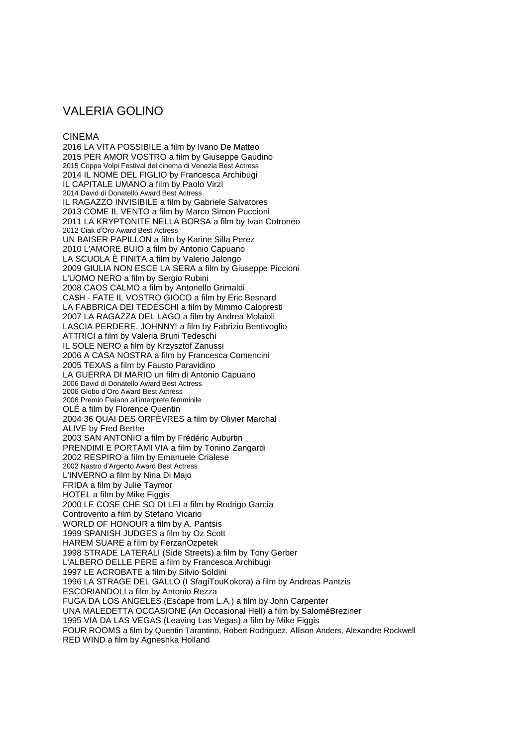# VALERIA GOLINO

#### CINEMA

2016 LA VITA POSSIBILE a film by Ivano De Matteo 2015 PER AMOR VOSTRO a film by Giuseppe Gaudino 2015 Coppa Volpi Festival del cinema di Venezia Best Actress 2014 IL NOME DEL FIGLIO by Francesca Archibugi IL CAPITALE UMANO a film by Paolo Virzì 2014 David di Donatello Award Best Actress IL RAGAZZO INVISIBILE a film by Gabriele Salvatores 2013 COME IL VENTO a film by Marco Simon Puccioni 2011 LA KRYPTONITE NELLA BORSA a film by Ivan Cotroneo 2012 Ciak d'Oro Award Best Actress UN BAISER PAPILLON a film by Karine Silla Perez 2010 L'AMORE BUIO a film by Antonio Capuano LA SCUOLA È FINITA a film by Valerio Jalongo 2009 GIULIA NON ESCE LA SERA a film by Giuseppe Piccioni L'UOMO NERO a film by Sergio Rubini 2008 CAOS CALMO a film by Antonello Grimaldi CA\$H - FATE IL VOSTRO GIOCO a film by Eric Besnard LA FABBRICA DEI TEDESCHI a film by Mimmo Calopresti 2007 LA RAGAZZA DEL LAGO a film by Andrea Molaioli LASCIA PERDERE, JOHNNY! a film by Fabrizio Bentivoglio ATTRICI a film by Valeria Bruni Tedeschi IL SOLE NERO a film by Krzysztof Zanussi 2006 A CASA NOSTRA a film by Francesca Comencini 2005 TEXAS a film by Fausto Paravidino LA GUERRA DI MARIO un film di Antonio Capuano 2006 David di Donatello Award Best Actress 2006 Globo d'Oro Award Best Actress 2006 Premio Flaiano all'interprete femminile OLÉ a film by Florence Quentin 2004 36 QUAI DES ORFÈVRES a film by Olivier Marchal ALIVE by Fred Berthe 2003 SAN ANTONIO a film by Frédéric Auburtin PRENDIMI E PORTAMI VIA a film by Tonino Zangardi 2002 RESPIRO a film by Emanuele Crialese 2002 Nastro d'Argento Award Best Actress L'INVERNO a film by Nina Di Majo FRIDA a film by Julie Taymor HOTEL a film by Mike Figgis 2000 LE COSE CHE SO DI LEI a film by Rodrigo Garcia Controvento a film by Stefano Vicario WORLD OF HONOUR a film by A. Pantsis 1999 SPANISH JUDGES a film by Oz Scott HAREM SUARE a film by FerzanOzpetek 1998 STRADE LATERALI (Side Streets) a film by Tony Gerber L'ALBERO DELLE PERE a film by Francesca Archibugi 1997 LE ACROBATE a film by Silvio Soldini 1996 LA STRAGE DEL GALLO (I SfagiTouKokora) a film by Andreas Pantzis ESCORIANDOLI a film by Antonio Rezza FUGA DA LOS ANGELES (Escape from L.A.) a film by John Carpenter UNA MALEDETTA OCCASIONE (An Occasional Hell) a film by SaloméBreziner 1995 VIA DA LAS VEGAS (Leaving Las Vegas) a film by Mike Figgis FOUR ROOMS a film by Quentin Tarantino, Robert Rodriguez, Allison Anders, Alexandre Rockwell RED WIND a film by Agneshka Holland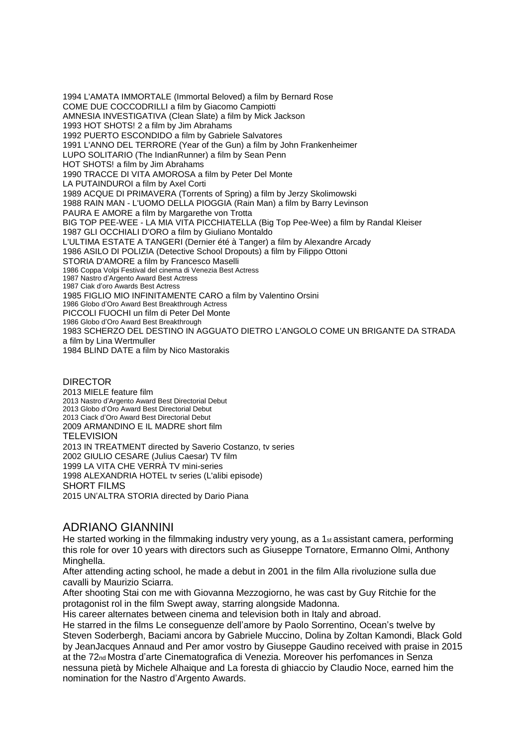1994 L'AMATA IMMORTALE (Immortal Beloved) a film by Bernard Rose COME DUE COCCODRILLI a film by Giacomo Campiotti AMNESIA INVESTIGATIVA (Clean Slate) a film by Mick Jackson 1993 HOT SHOTS! 2 a film by Jim Abrahams 1992 PUERTO ESCONDIDO a film by Gabriele Salvatores 1991 L'ANNO DEL TERRORE (Year of the Gun) a film by John Frankenheimer LUPO SOLITARIO (The IndianRunner) a film by Sean Penn HOT SHOTS! a film by Jim Abrahams 1990 TRACCE DI VITA AMOROSA a film by Peter Del Monte LA PUTAINDUROI a film by Axel Corti 1989 ACQUE DI PRIMAVERA (Torrents of Spring) a film by Jerzy Skolimowski 1988 RAIN MAN - L'UOMO DELLA PIOGGIA (Rain Man) a film by Barry Levinson PAURA E AMORE a film by Margarethe von Trotta BIG TOP PEE-WEE - LA MIA VITA PICCHIATELLA (Big Top Pee-Wee) a film by Randal Kleiser 1987 GLI OCCHIALI D'ORO a film by Giuliano Montaldo L'ULTIMA ESTATE A TANGERI (Dernier été à Tanger) a film by Alexandre Arcady 1986 ASILO DI POLIZIA (Detective School Dropouts) a film by Filippo Ottoni STORIA D'AMORE a film by Francesco Maselli 1986 Coppa Volpi Festival del cinema di Venezia Best Actress 1987 Nastro d'Argento Award Best Actress 1987 Ciak d'oro Awards Best Actress 1985 FIGLIO MIO INFINITAMENTE CARO a film by Valentino Orsini 1986 Globo d'Oro Award Best Breakthrough Actress PICCOLI FUOCHI un film di Peter Del Monte 1986 Globo d'Oro Award Best Breakthrough 1983 SCHERZO DEL DESTINO IN AGGUATO DIETRO L'ANGOLO COME UN BRIGANTE DA STRADA a film by Lina Wertmuller 1984 BLIND DATE a film by Nico Mastorakis

DIRECTOR 2013 MIELE feature film 2013 Nastro d'Argento Award Best Directorial Debut 2013 Globo d'Oro Award Best Directorial Debut 2013 Ciack d'Oro Award Best Directorial Debut 2009 ARMANDINO E IL MADRE short film **TELEVISION** 2013 IN TREATMENT directed by Saverio Costanzo, tv series 2002 GIULIO CESARE (Julius Caesar) TV film 1999 LA VITA CHE VERRÀ TV mini-series 1998 ALEXANDRIA HOTEL tv series (L'alibi episode) SHORT FILMS 2015 UN'ALTRA STORIA directed by Dario Piana

## ADRIANO GIANNINI

He started working in the filmmaking industry very young, as a 1<sup>st</sup> assistant camera, performing this role for over 10 years with directors such as Giuseppe Tornatore, Ermanno Olmi, Anthony Minghella.

After attending acting school, he made a debut in 2001 in the film Alla rivoluzione sulla due cavalli by Maurizio Sciarra.

After shooting Stai con me with Giovanna Mezzogiorno, he was cast by Guy Ritchie for the protagonist rol in the film Swept away, starring alongside Madonna.

His career alternates between cinema and television both in Italy and abroad.

He starred in the films Le conseguenze dell'amore by Paolo Sorrentino, Ocean's twelve by Steven Soderbergh, Baciami ancora by Gabriele Muccino, Dolina by Zoltan Kamondi, Black Gold by JeanJacques Annaud and Per amor vostro by Giuseppe Gaudino received with praise in 2015 at the 72nd Mostra d'arte Cinematografica di Venezia. Moreover his perfomances in Senza nessuna pietà by Michele Alhaique and La foresta di ghiaccio by Claudio Noce, earned him the nomination for the Nastro d'Argento Awards.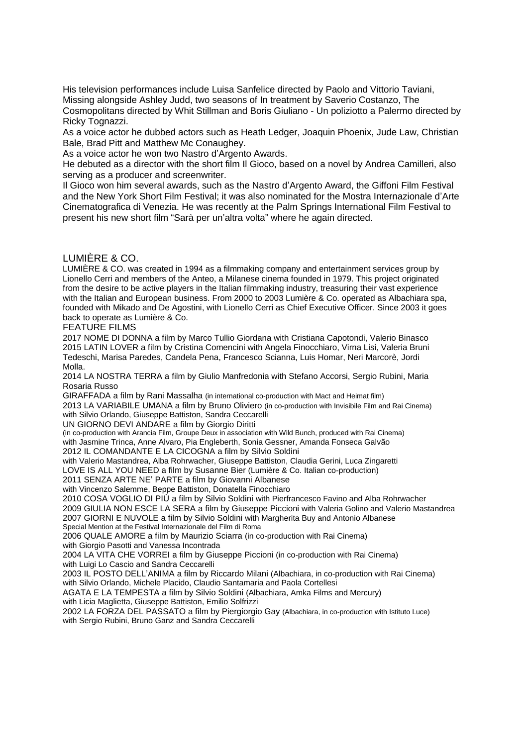His television performances include Luisa Sanfelice directed by Paolo and Vittorio Taviani, Missing alongside Ashley Judd, two seasons of In treatment by Saverio Costanzo, The

Cosmopolitans directed by Whit Stillman and Boris Giuliano - Un poliziotto a Palermo directed by Ricky Tognazzi.

As a voice actor he dubbed actors such as Heath Ledger, Joaquin Phoenix, Jude Law, Christian Bale, Brad Pitt and Matthew Mc Conaughey.

As a voice actor he won two Nastro d'Argento Awards.

He debuted as a director with the short film Il Gioco, based on a novel by Andrea Camilleri, also serving as a producer and screenwriter.

Il Gioco won him several awards, such as the Nastro d'Argento Award, the Giffoni Film Festival and the New York Short Film Festival; it was also nominated for the Mostra Internazionale d'Arte Cinematografica di Venezia. He was recently at the Palm Springs International Film Festival to present his new short film "Sarà per un'altra volta" where he again directed.

#### LUMIÈRE & CO.

LUMIÈRE & CO. was created in 1994 as a filmmaking company and entertainment services group by Lionello Cerri and members of the Anteo, a Milanese cinema founded in 1979. This project originated from the desire to be active players in the Italian filmmaking industry, treasuring their vast experience with the Italian and European business. From 2000 to 2003 Lumière & Co. operated as Albachiara spa, founded with Mikado and De Agostini, with Lionello Cerri as Chief Executive Officer. Since 2003 it goes back to operate as Lumière & Co.

FEATURE FILMS

2017 NOME DI DONNA a film by Marco Tullio Giordana with Cristiana Capotondi, Valerio Binasco 2015 LATIN LOVER a film by Cristina Comencini with Angela Finocchiaro, Virna Lisi, Valeria Bruni Tedeschi, Marisa Paredes, Candela Pena, Francesco Scianna, Luis Homar, Neri Marcorè, Jordi Molla.

2014 LA NOSTRA TERRA a film by Giulio Manfredonia with Stefano Accorsi, Sergio Rubini, Maria Rosaria Russo

GIRAFFADA a film by Rani Massalha (in international co-production with Mact and Heimat film) 2013 LA VARIABILE UMANA a film by Bruno Oliviero (in co-production with Invisibile Film and Rai Cinema) with Silvio Orlando, Giuseppe Battiston, Sandra Ceccarelli

UN GIORNO DEVI ANDARE a film by Giorgio Diritti

(in co-production with Arancia Film, Groupe Deux in association with Wild Bunch, produced with Rai Cinema) with Jasmine Trinca, Anne Alvaro, Pia Engleberth, Sonia Gessner, Amanda Fonseca Galvão 2012 IL COMANDANTE E LA CICOGNA a film by Silvio Soldini

with Valerio Mastandrea, Alba Rohrwacher, Giuseppe Battiston, Claudia Gerini, Luca Zingaretti

LOVE IS ALL YOU NEED a film by Susanne Bier (Lumière & Co. Italian co-production)

2011 SENZA ARTE NE' PARTE a film by Giovanni Albanese

with Vincenzo Salemme, Beppe Battiston, Donatella Finocchiaro

2010 COSA VOGLIO DI PIÙ a film by Silvio Soldini with Pierfrancesco Favino and Alba Rohrwacher 2009 GIULIA NON ESCE LA SERA a film by Giuseppe Piccioni with Valeria Golino and Valerio Mastandrea 2007 GIORNI E NUVOLE a film by Silvio Soldini with Margherita Buy and Antonio Albanese Special Mention at the Festival Internazionale del Film di Roma

2006 QUALE AMORE a film by Maurizio Sciarra (in co-production with Rai Cinema) with Giorgio Pasotti and Vanessa Incontrada

2004 LA VITA CHE VORREI a film by Giuseppe Piccioni (in co-production with Rai Cinema) with Luigi Lo Cascio and Sandra Ceccarelli

2003 IL POSTO DELL'ANIMA a film by Riccardo Milani (Albachiara, in co-production with Rai Cinema) with Silvio Orlando, Michele Placido, Claudio Santamaria and Paola Cortellesi

AGATA E LA TEMPESTA a film by Silvio Soldini (Albachiara, Amka Films and Mercury) with Licia Maglietta, Giuseppe Battiston, Emilio Solfrizzi

2002 LA FORZA DEL PASSATO a film by Piergiorgio Gay (Albachiara, in co-production with Istituto Luce) with Sergio Rubini, Bruno Ganz and Sandra Ceccarelli